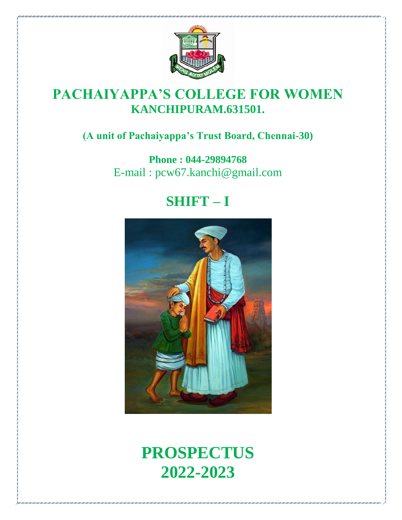

## **PACHAIYAPPA'S COLLEGE FOR WOMEN KANCHIPURAM.631501.**

## **(A unit of Pachaiyappa's Trust Board, Chennai-30)**

**Phone : 044-29894768** E-mail : pcw67.kanchi@gmail.com

## **SHIFT – I**



# **PROSPECTUS 2022-2023**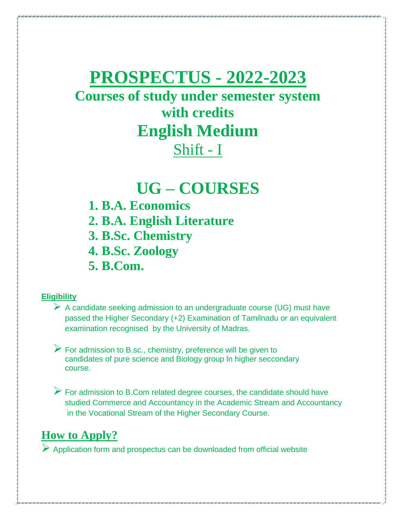# **PROSPECTUS - 2022-2023**

## **Courses of study under semester system with credits English Medium** Shift - I

## **UG – COURSES**

- **1. B.A. Economics 2. B.A. English Literature 3. B.Sc. Chemistry**
- **4. B.Sc. Zoology**

**5. B.Com.**

#### **Eligibility**

- $\triangleright$  A candidate seeking admission to an undergraduate course (UG) must have passed the Higher Secondary (+2) Examination of Tamilnadu or an equivalent examination recognised by the University of Madras.
- For adrnission to B.sc., chemistry, preference will be given to candidates of pure science and Biology group ln higher seccondary course.
- $\triangleright$  For admission to B.Com related degree courses, the candidate should have studied Commerce and Accountancy in the Academic Stream and Accountancy in the Vocational Stream of the Higher Secondary Course.

### **How to Apply?**

 $\triangleright$  Application form and prospectus can be downloaded from official website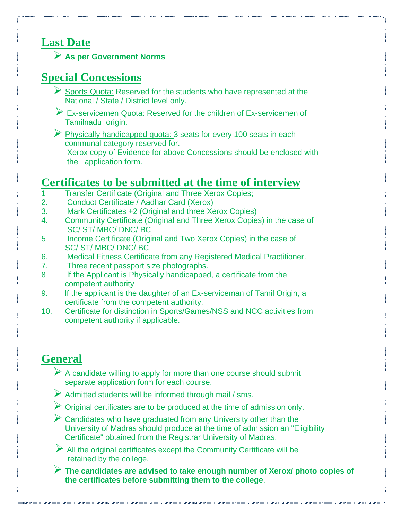## **Last Date**

**As per Government Norms**

### **Special Concessions**

- Sports Quota: Reserved for the students who have represented at the National / State / District level only.
- Ex-servicemen Quota: Reserved for the children of Ex-servicemen of Tamilnadu origin.
- Physically handicapped quota: 3 seats for every 100 seats in each communal category reserved for.

Xerox copy of Evidence for above Concessions should be enclosed with the application form.

### **Certificates to be submitted at the time of interview**

- 1 Transfer Certificate (Original and Three Xerox Copies;
- 2. Conduct Certificate / Aadhar Card (Xerox)
- 3. Mark Certificates +2 (Original and three Xerox Copies)
- 4. Community Certificate (Original and Three Xerox Copies) in the case of SC/ ST/ MBC/ DNC/ BC
- 5 Income Certificate (Original and Two Xerox Copies) in the case of SC/ ST/ MBC/ DNC/ BC
- 6. Medical Fitness Certificate from any Registered Medical Practitioner.
- 7. Three recent passport size photographs.
- 8 If the Applicant is Physically handicapped, a certificate from the competent authority
- 9. If the applicant is the daughter of an Ex-serviceman of Tamil Origin, a certificate from the competent authority.
- 10. Certificate for distinction in Sports/Games/NSS and NCC activities from competent authority if applicable.

## **General**

- $\triangleright$  A candidate willing to apply for more than one course should submit separate application form for each course.
- $\triangleright$  Admitted students will be informed through mail / sms.
- $\triangleright$  Original certificates are to be produced at the time of admission only.
- $\triangleright$  Candidates who have graduated from any University other than the University of Madras should produce at the time of admission an "Eligibility Certificate" obtained from the Registrar University of Madras.
- $\triangleright$  All the original certificates except the Community Certificate will be retained by the college.
- **The candidates are advised to take enough number of Xerox/ photo copies of the certificates before submitting them to the college**.